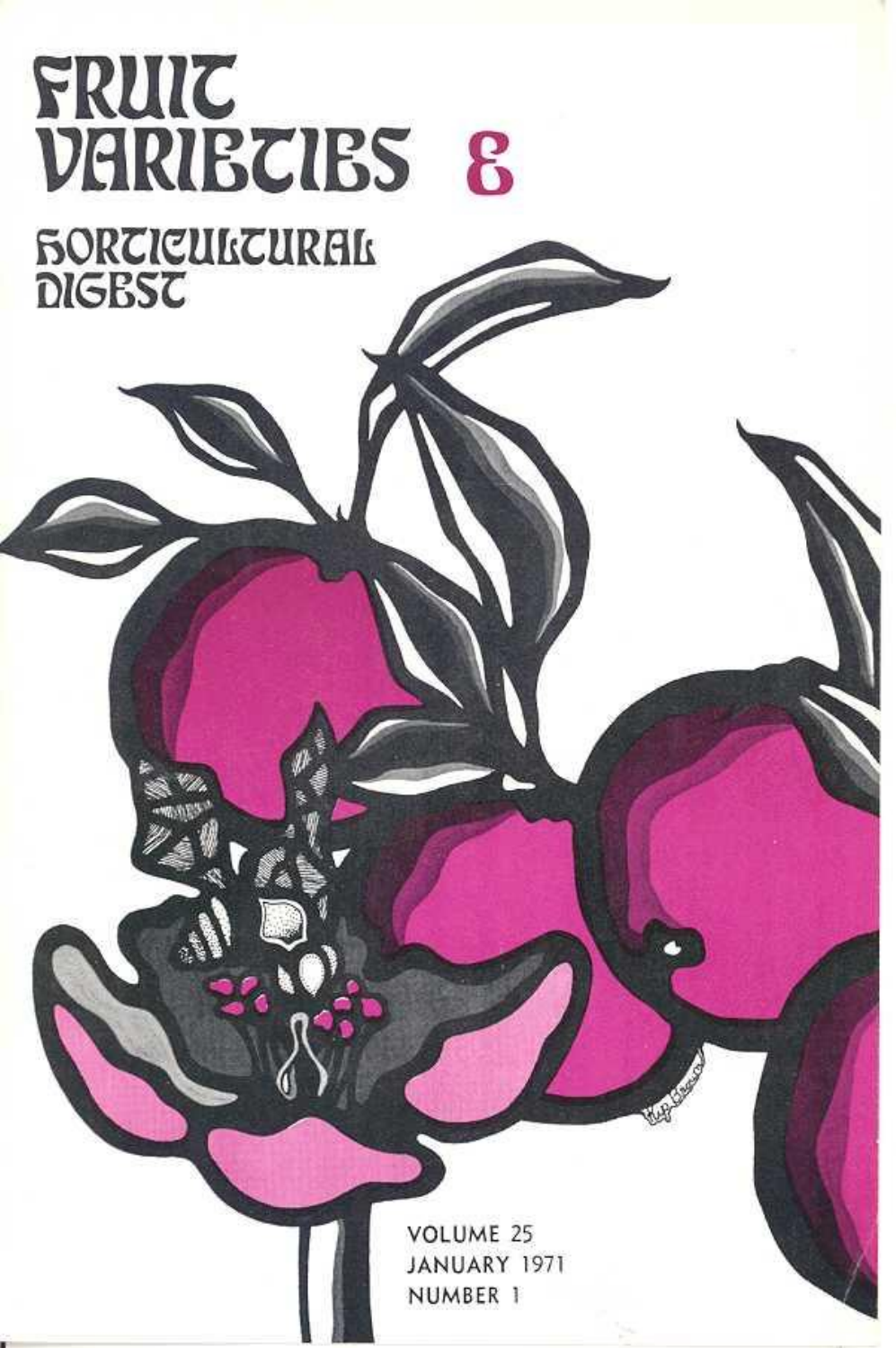

VOLUME 25 JANUARY 1971 NUMBER 1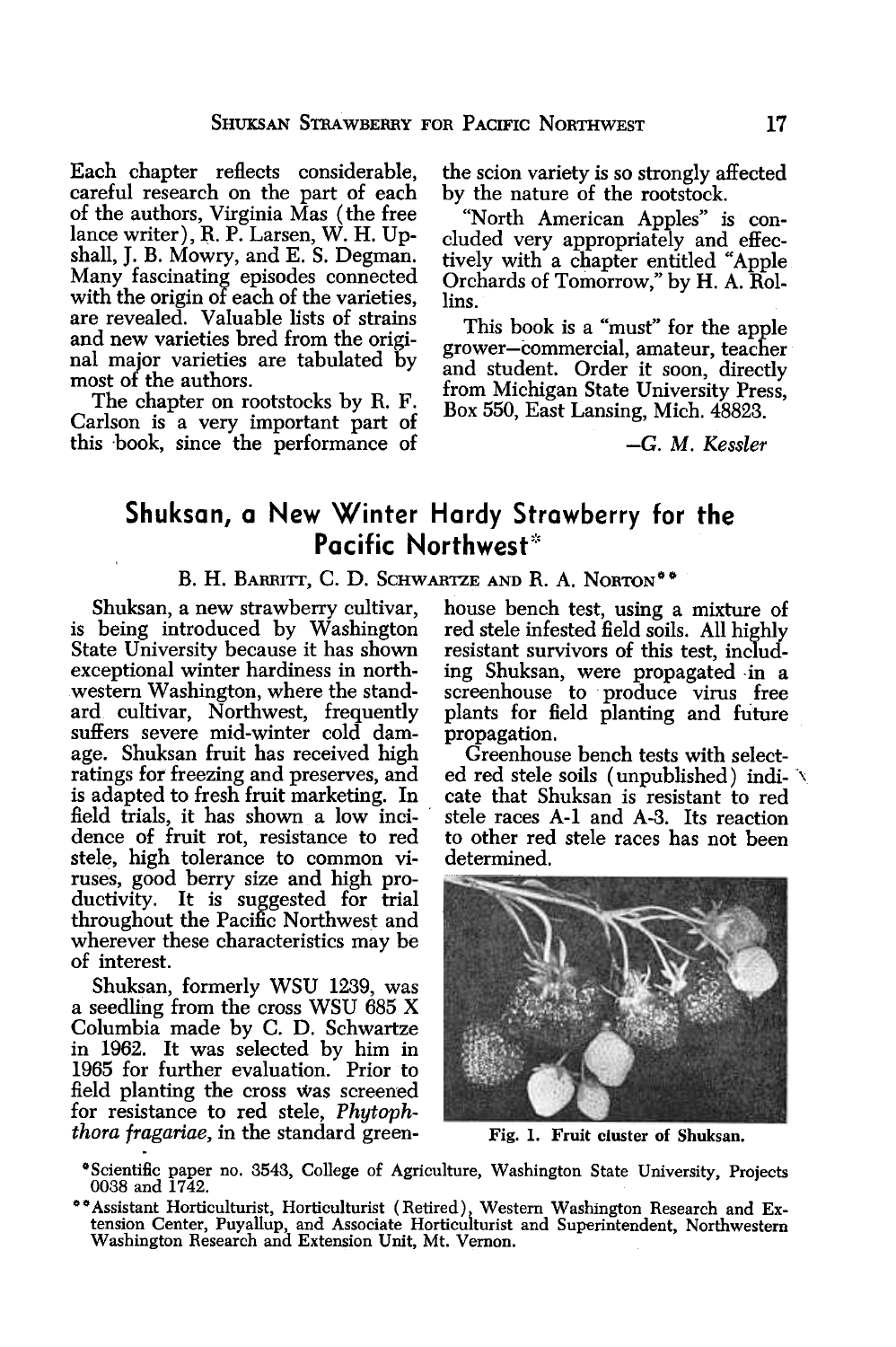Each chapter reflects considerable, careful research on the part of each of the authors, Virginia Mas (the free lance writer),  $R. P.$  Larsen,  $W.$  H. Upshall, J. B. Mowry, and E. S. Degman. Many fascinating episodes connected with the origin of each of the varieties, are revealed. Valuable lists of strains and new varieties bred from the original major varieties are tabulated by most of the authors.

The chapter on rootstocks by R. F. Carlson is a very important part of this book, since the performance of the scion variety is so strongly affected by the nature of the rootstock.

"North American Apples" is concluded very appropriately and effectively with a chapter entitled "Apple Orchards of Tomorrow," by H. A. Rollins.

This book is a "must" for the apple grower-commercial, amateur, teacher and student. Order it soon, directly from Michigan State University Press, Box 550, East Lansing, Mich. 48823.

-G. M. Kessler

## Shuksan, a New Winter Hardy Strawberry for the Pacific Northwest\*

## B. H. BARRITT, C. D. SCHWARTZE AND R. A. NORTON<sup>\*\*</sup>

is being introduced by Washington red stele infested field soils. All highly State University because it has shown resistant survivors of this test, includex-<br>exceptional winter hardiness in north- ing Shuksan, were propagated in a exceptional winter hardiness in north- ing Shuksan, were propagated -in a western Washington, where the stand- screenhouse to produce virus free ard cultivar, Northwest, frequently plants for field planting and future suffers severe mid-winter cold dam- propagation. age. Shuksan fruit has received high Greenhouse bench tests with select-<br>ratings for freezing and preserves, and ed red stele soils (unpublished) indiis adapted to fresh fruit marketing. In cate that Shuksan is resistant to red<br>field trials, it has shown a low inci- stele races A-1 and A-3. Its reaction field trials, it has shown a low incidence of fruit rot, resistance to red to other red stele races has not been stele, high tolerance to common vi- determined. ruses, good berry size and high productivity. It is suggested for trial throughout the Pacific Northwest and wherever these characteristics may be of interest.

Shuksan, formerly WSU 1239, was a seedling from the cross WSU 685 X Columbia made by C. D. Schwartze in 1962. It was selected by him in 1965 for further evaluation. Prior to field planting the cross was screened for resistance to red stele, Phytophthora fragariae, in the standard green- Fig. 1. Fruit cluster of Shuksan.

Shuksan, a new strawberry cultivar, house bench test, using a mixture of

rational red steles soils (unpublished) indi-



°Scientific paper no. 3543, College of Agriculture, Washington State University, Projects 0038 and 1742.

<sup>\*\*</sup> Assistant Horticulturist, Horticulturist (Retired) Western Washington Research and Extension Center, Puyallup, and Associate Horticuiturist and Superintendent, Northwestern Washington Research and Extension Unit, Mt. Vernon.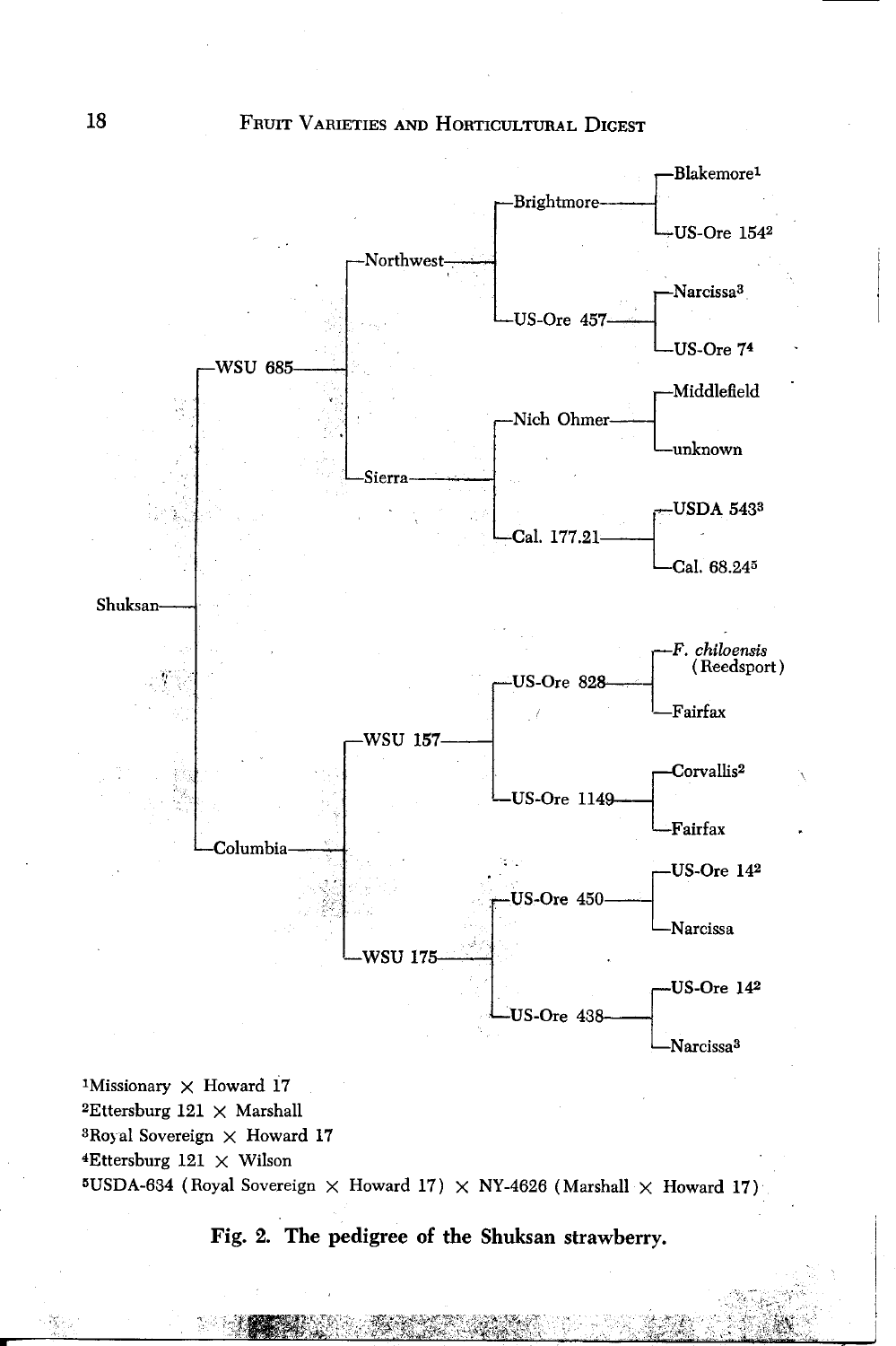

<sup>1</sup>Missionary  $\times$  Howard 17  $2$ Ettersburg 121  $\times$  Marshall <sup>3</sup>Royal Sovereign  $\times$  Howard 17  $4$ Ettersburg 121  $\times$  Wilson 5USDA-634 (Royal Sovereign  $\times$  Howard 17)  $\times$  NY-4626 (Marshall  $\times$  Howard 17)



а.,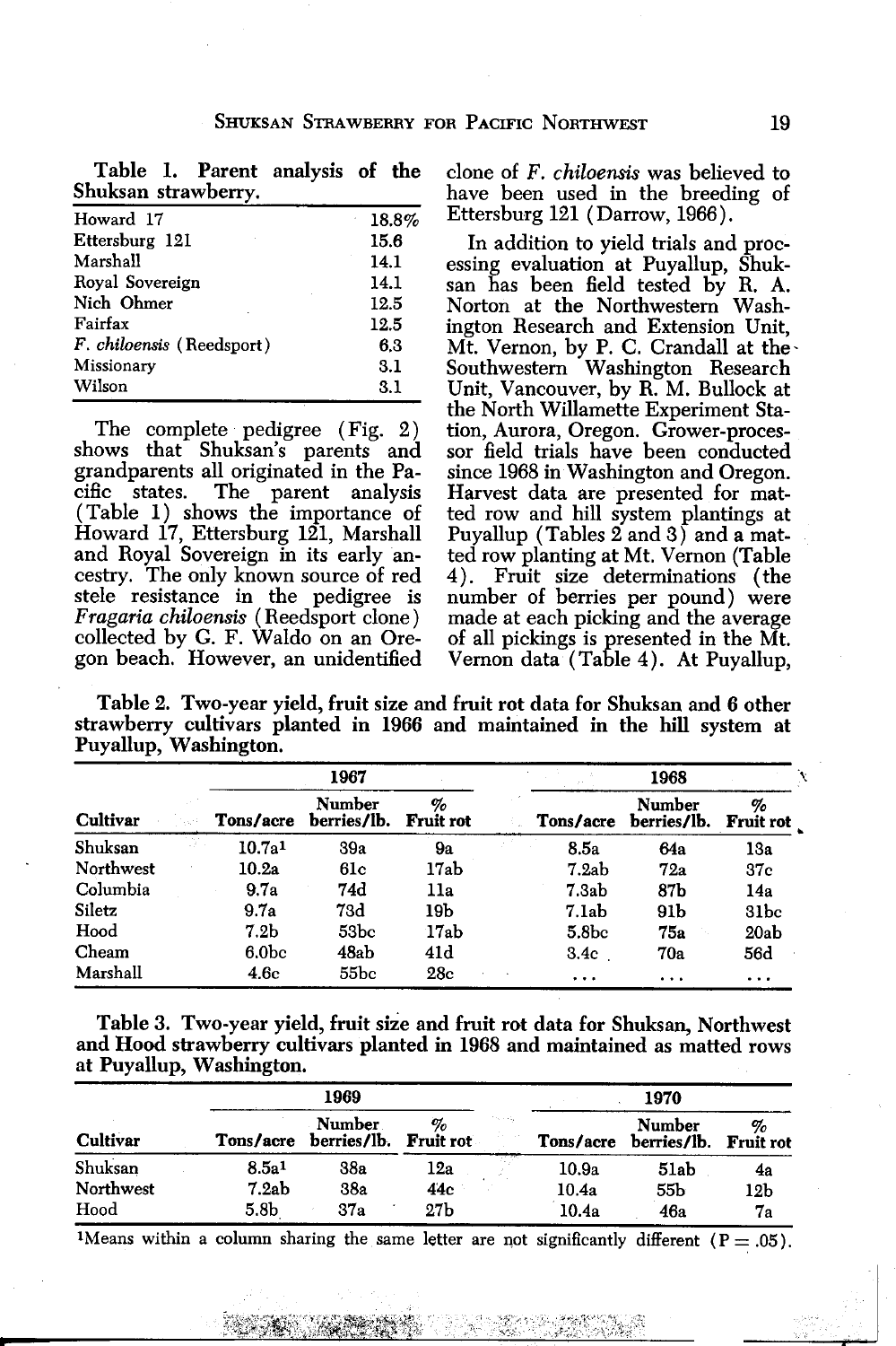|                     |  | Table 1. Parent analysis of the |  |
|---------------------|--|---------------------------------|--|
| Shuksan strawberry. |  |                                 |  |

| Howard 17                 | 18.8% | Ettersburg 121 (Darrow, 1966).       |
|---------------------------|-------|--------------------------------------|
| Ettersburg 121            | 15.6  | In addition to yield trials and proc |
| Marshall                  | 14.1  | essing evaluation at Puyallup, Shuk  |
| Royal Sovereign           | 14.1  | san has been field tested by R. A    |
| Nich Ohmer                | 12.5  | Norton at the Northwestern Wash      |
| Fairfax                   | 12.5  | ington Research and Extension Unit   |
| F. chiloensis (Reedsport) | 6.3   | Mt. Vernon, by P. C. Crandall at the |
| Missionary                | 3.1   | Southwestern Washington Research     |
| Wilson                    | 3.1   | Unit, Vancouver, by R. M. Bullock a  |

The complete pedigree (Fig. 2) shows that Shuksan's parents and sor field trials have been conducted grandparents all originated in the Pa- since 1968 in Washington and Oregon.<br>cific states. The parent analysis Harvest data are presented for mat-<br>(Table 1) shows the importance of ted row and hill system plantings at cific states. The parent analysis Harvest data are presented for mat- (Table 1) shows the importance of ted row and hill system plantings at Howard 17, Ettersburg 121, Marshall Puyallup (Tables 2 and 3) and a matand Royal Soyereign in its early an- ted row planting at Mt. Vernon (Table cestry. The only known source of red 4). Fruit size determinations (the stele resistance in the pedigree is number of berries per pound) were<br>Fragaria chiloensis (Reedsport clone) made at each picking and the average Fragaria chiloensis (Reedsport clone)<br>collected by G. F. Waldo on an Orecollected by G. F. Waldo on an Ore- of all pickings is presented in the Mt.<br>gon beach. However, an unidentified Vernon data (Table 4). At Puvallup.

clone of  $F.$  chiloensis was believed to have been used in the breeding of Ettersburg 121 (Darrow, 1966).

In addition to yield trials and processing evaluation at Puyallup, Shukington Research and Extension Unit, Mt. Vernon, by P. C. Crandall at the-Southwestern Washington Research Unit, Vancouver, by R. M. Bullock at the North Willamette Experiment Sta-Vernon data (Table 4). At Puyallup,

Table 2. Two-year yield, fruit size and fruit rot data for Shuksan and 6 other strawberry cultivars planted in 1966 and maintained in the hill system at Puyallup, Washington.

| <b>Cultivar</b> |                    | 1967                  |                       |                   | 1968                  |                       |
|-----------------|--------------------|-----------------------|-----------------------|-------------------|-----------------------|-----------------------|
|                 | Tons/acre          | Number<br>berries/lb. | %<br><b>Fruit rot</b> | Tons/acre         | Number<br>berries/lb. | %<br><b>Fruit rot</b> |
| Shuksan         | 10.7a <sup>1</sup> | 39a                   | 9a                    | 8.5a              | 64a                   | 13a                   |
| Northwest       | 10.2a              | 61c                   | 17ab                  | 7.2ab             | 72a                   | 37c                   |
| Columbia        | 9.7a               | 74d                   | 11a                   | 7.3ab             | 87b                   | 14a                   |
| Siletz          | 9.7a               | 73d                   | 19b                   | 7.1ab             | 91 b                  | 31 <sub>bc</sub>      |
| Hood            | 7.2 <sub>b</sub>   | 53bc                  | 17ab                  | 5.8 <sub>bc</sub> | 75а                   | 20ab                  |
| Cheam           | 6.0 <sub>bc</sub>  | 48ab                  | 41d                   | 3.4c              | 70a                   | 56d                   |
| Marshall        | 4.6c               | 55bc                  | 28c                   | $\cdots$          | .                     | .                     |

Table 3. Two-year yield, fruit size and fruit rot data for Shuksan, Northwest and Hood strawberry cultivars planted in 1968 and maintained as matted rows at Puyallup, Washington.

|                 |                   | 1969                  |                 |                                                  |           | 1970                  |                        |
|-----------------|-------------------|-----------------------|-----------------|--------------------------------------------------|-----------|-----------------------|------------------------|
| <b>Cultivar</b> | Tons/acre         | Number<br>berries/lb. | %<br>Fruit rot  | $\mathbf{S} \rightarrow \mathbf{S}_{\mathbf{Q}}$ | Tons/acre | Number<br>berries/lb. | ο,<br><b>Fruit rot</b> |
| Shuksan         | 8.5a <sup>1</sup> | 38a                   | 12a             |                                                  | 10.9a     | 51ab                  | 4a                     |
| Northwest       | 7.2ab             | 38a                   | 44c             |                                                  | 10.4a     | 55b                   | 12b                    |
| Hood            | 5.8b              | 37a                   | 27 <sub>b</sub> |                                                  | 10.4a     | 46a                   | 7а                     |

<sup>1</sup>Means within a column sharing the same letter are not significantly different ( $P = .05$ ).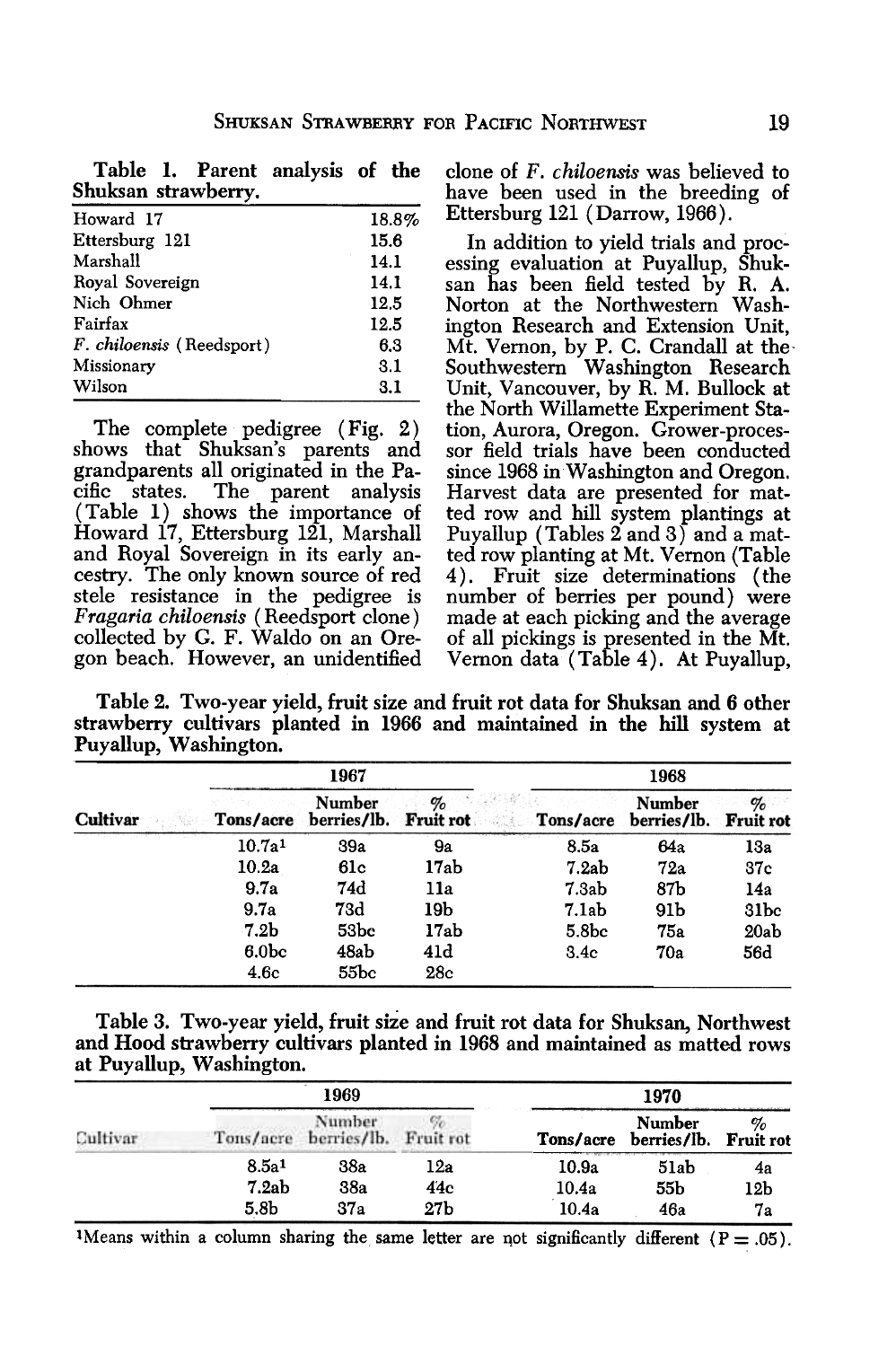|                     |  | Table 1. Parent analysis of the |  |  |
|---------------------|--|---------------------------------|--|--|
| Shuksan strawberry. |  |                                 |  |  |

| Howard 17                        | 18.8% |
|----------------------------------|-------|
| Ettersburg 121                   | 15.6  |
| Marshall                         | 14.1  |
| Royal Sovereign                  | 14.1  |
| Nich Ohmer                       | 12.5  |
| Fairfax                          | 12.5  |
| <i>F. chiloensis</i> (Reedsport) | 6.3   |
| Missionary                       | 3.1   |
| Wilson                           | 3.1   |

The complete pedigree (Fig. 2) shows that Shuksan's parents and grandparents all originated in the Pacific states. The parent analysis (Table 1) shows the importance of Howard 17, Ettersburg 121, Marshall and Royal Soyereign in its early ancestry. The only known source of red stele resistance in the pedigree is Fragaria chiloensis (Reedsport clone) collected by G. F. Waldo on an Oregon beach. However, an unidentified clone of F. chiloensis was believed to have been used in the breeding of Ettersburg 121 ( Darrow, 1966).

In addition to yield trials and processing evaluation at Puyallup, Shuksan has been field tested by R. A. Norton at the Northwestern Washington Research and Extension Unit, Mt. Vernon, by P. C. Crandall at the-Southwestern Washington Research Unit, Vancouver, by R. M. Bullock at the North Willamette Experiment Station, Aurora, Oregon. Grower-processor field trials have been conducted since 1968 in Washington and Oregon. Harvest data are presented for matted row and hill system plantings at Puyallup (Tables 2 and 3) and a matted row planting at Mt. Vernon (Table 4). Fruit size determinations (the number of berries per pound) were made at each picking and the average of all pickings is presented in the Mt. Vernon data (Table 4). At Puyallup,

Table 2. Two-year yield, fruit size and fruit rot data for Shuksan and 6 other strawberry cultivars planted in 1966 and maintained in the hill system at Puyallup, Washington.

|          |                    | 1967                            |      |                   | 1968                            |                  |  |  |  |
|----------|--------------------|---------------------------------|------|-------------------|---------------------------------|------------------|--|--|--|
| Cultivar | Tons/acre          | Number<br>berries/lb. Fruit rot | $\%$ | Tons/acre         | Number<br>berries/lb. Fruit rot | %                |  |  |  |
|          | 10.7a <sup>1</sup> | 39a                             | 9a   | 8.5a              | 64a                             | 13a              |  |  |  |
|          | 10.2a              | 61c                             | 17ab | 7.2ab             | 72a                             | <b>37c</b>       |  |  |  |
|          | 9.7a               | 74d                             | 11a  | 7.3ab             | 87b                             | 14a              |  |  |  |
|          | 9.7a               | 73d                             | 19b  | 7.1ab             | 91 b                            | 31 <sub>bc</sub> |  |  |  |
|          | 7.2 <sub>b</sub>   | 53bc                            | 17ab | 5.8 <sub>bc</sub> | 75а                             | 20ab             |  |  |  |
|          | 6.0 <sub>bc</sub>  | 48ab                            | 41d  | 3.4c              | 70a                             | 56d              |  |  |  |
|          | 4.6c               | 55bc                            | 28c  |                   |                                 |                  |  |  |  |

| Table 3. Two-year yield, fruit size and fruit rot data for Shuksan, Northwest |  |  |
|-------------------------------------------------------------------------------|--|--|
| and Hood strawberry cultivars planted in 1968 and maintained as matted rows   |  |  |
| at Puyallup, Washington.                                                      |  |  |

| Cultivar |                   | 1969                            |                 | 1970      |                                 |     |  |  |
|----------|-------------------|---------------------------------|-----------------|-----------|---------------------------------|-----|--|--|
|          |                   | Number<br>Tons/acre berries/lb. | Fruit rot       | Tons/acre | Number<br>berries/lb. Fruit rot | %   |  |  |
|          | 8.5a <sup>1</sup> | 38a                             | 12a             | 10.9a     | 51ab                            | 4a  |  |  |
|          | 7.2ab             | <b>38a</b>                      | 44c             | 10.4a     | 55b                             | 12b |  |  |
|          | 5.8 <sub>b</sub>  | 37a                             | 27 <sub>b</sub> | 10.4a     | 46a                             | 7а  |  |  |

<sup>1</sup>Means within a column sharing the same letter are not significantly different ( $P = .05$ ).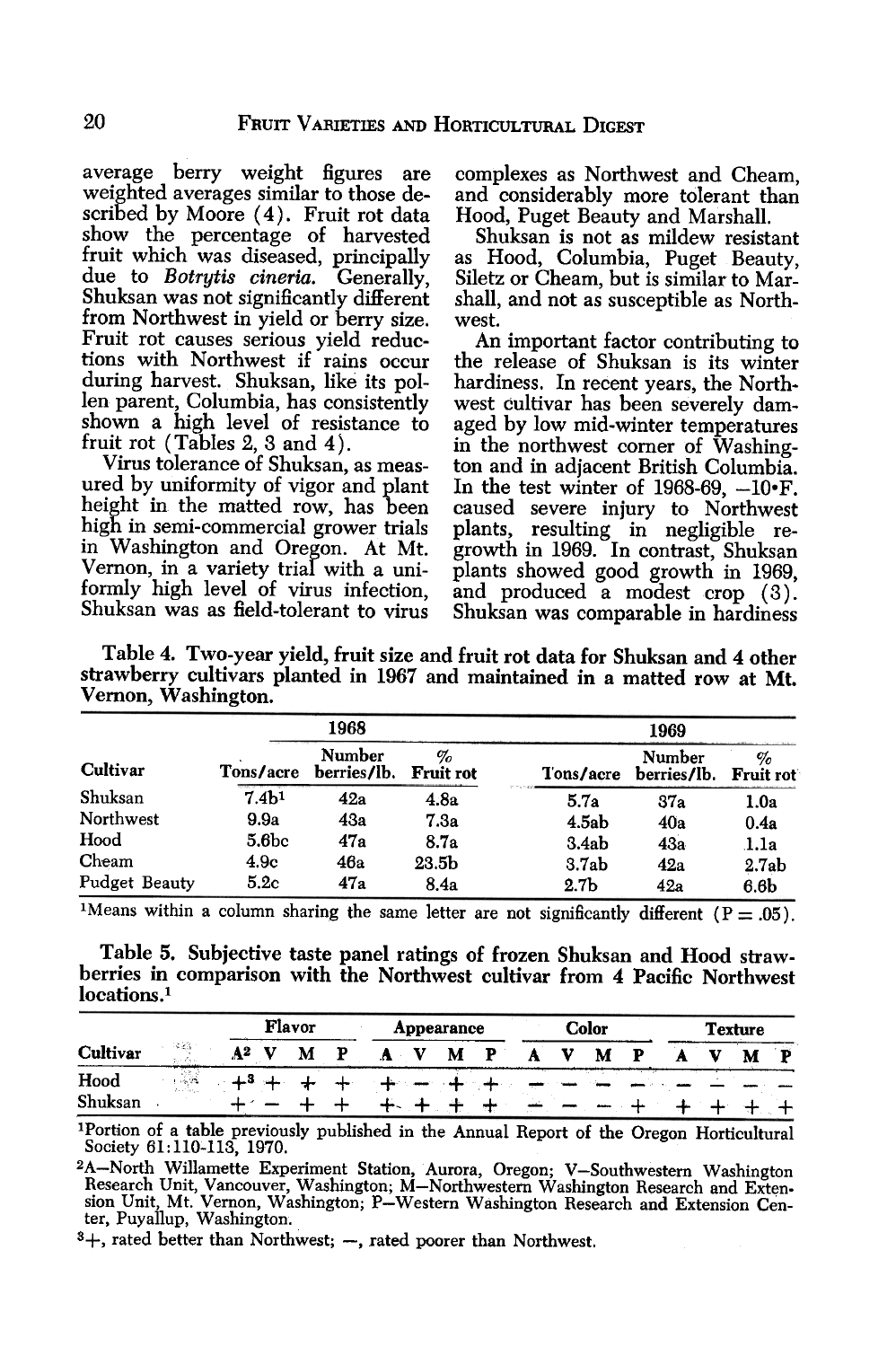average berry weight figures are weighted averages similar to those described by Moore (4). Fruit rot data show the percentage of harvested fruit which was diseased, principally due to Botrytis cineria. Generally, Shuksan was not significantly different from Northwest in yield or berry size. Fruit rot causes serious yield reductions with Northwest if rains occur during harvest. Shuksan, like its pollen parent, Columbia, has consistently shown a high level of resistance to fruit rot (Tables 2, 3 and 4).

Virus tolerance of Shuksan, as measured by uniformity of vigor and plant height in the matted row, has been high in semi-commercial grower trials in Washington and Oregon. At Mt. Vernon, in a variety trial with a uniformly high level of virus infection, Shuksan was as field-tolerant to virus

complexes as Northwest and Cheam, and considerably more tolerant than Hood, Puget Beauty and Marshall.

Shuksan is not as mildew resistant as Hood, Columbia, Puget Beauty, Siletz or Cheam, but is similar to Marshall, and not as susceptible as Northwest.

An important factor contributing to the release of Shuksan is its winter hardiness. In recent years, the Northwest cultivar has been severely damaged by low mid-winter temperatures in the northwest comer of Washington and in adjacent British Columbia. In the test winter of  $1968-69$ ,  $-10\text{·F}$ . caused severe injury to Northwest plants, resulting in negligible regrowth in 1969. In contrast, Shuksan plants showed good growth in 1969, and produced a modest crop (3). Shuksan was comparable in hardiness

Table 4. Two-year yield, fruit size and fruit rot data for Shuksan and 4 other strawberry cultivars planted in 1967 and maintained in a matted row at Mt. Vemon, Washington.

|               |                   | 1968                         |                          |                  | 1969                  |                       |  |  |
|---------------|-------------------|------------------------------|--------------------------|------------------|-----------------------|-----------------------|--|--|
| Cultivar      | Tons/acre         | <b>Number</b><br>berries/lb. | $\%$<br><b>Fruit rot</b> | Tons/acre        | Number<br>berries/lb. | %<br><b>Fruit rot</b> |  |  |
| Shuksan       | 7.4 <sub>b1</sub> | 42a                          | 4.8a                     | 5.7a             | 37a                   | 1.0a                  |  |  |
| Northwest     | 9.9a              | 43a                          | 7.3a                     | 4.5ab            | 40a                   | 0.4a                  |  |  |
| Hood          | 5.6 <sub>bc</sub> | 47a                          | 8.7a                     | 3.4ab            | 43a                   | 1.1a                  |  |  |
| Cheam         | 4.9c              | 46a                          | 23.5b                    | 3.7ab            | 42a                   | 2.7ab                 |  |  |
| Pudget Beauty | 5.2c              | 47a                          | 8.4a                     | 2.7 <sub>b</sub> | 42a                   | 6.6 <sub>b</sub>      |  |  |

<sup>1</sup>Means within a column sharing the same letter are not significantly different ( $P = .05$ ).

Table 5. Subjective taste panel ratings of frozen Shuksan and Hood strawberries in comparison with the Northwest cultivar from 4 Pacific Northwest<br>locations.<sup>1</sup>

|                       |      |   | <b>Flavor</b> |   | Appearance |   | Color |   | <b>Texture</b> |  |
|-----------------------|------|---|---------------|---|------------|---|-------|---|----------------|--|
| 隊団<br><b>Cultivar</b> |      | М |               | М |            | M |       | M |                |  |
| Hood                  | 1965 |   |               |   |            |   |       |   |                |  |
| Shuksan               |      |   |               |   |            |   |       |   |                |  |

1 Portion of a table previously published in the Annual Report of the Oregon Horticultural Society 61:110-113, 1970.

 $3+$ , rated better than Northwest;  $-$ , rated poorer than Northwest.

<sup>2</sup>A-North Willamette Experiment Station, Aurora, Oregon; V-Southwestern Washington Research Unit, Vancouver, Washington; M-Northwestern Washington Research and Exten. sion Unit, Mt. Vernon, Washington; P-Western Washington Research and Extension Center, Puyallup, Washington.